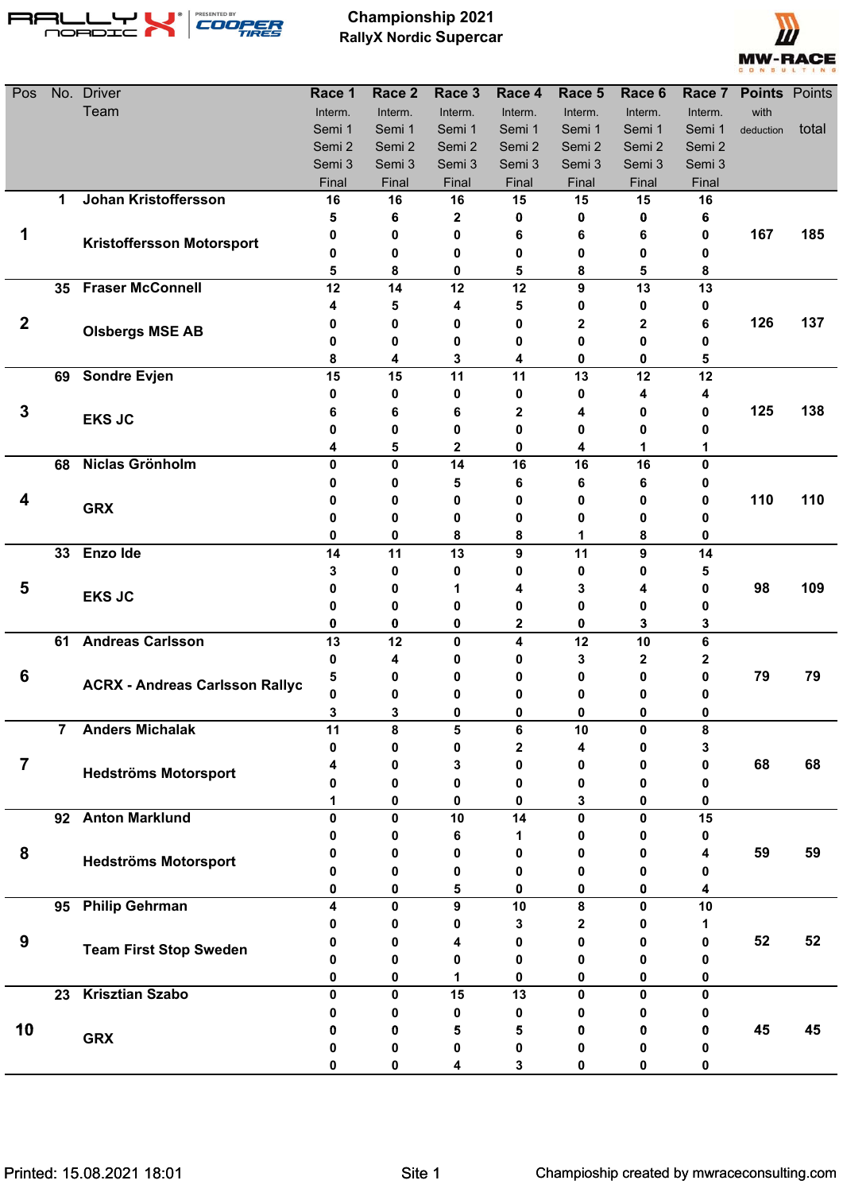

**Championship 2021 RallyX Nordic Supercar**



| Pos              |                         | No. Driver                            | Race 1      | Race 2  | Race 3      | Race 4       | Race 5    | Race 6            | Race 7       | <b>Points Points</b> |       |
|------------------|-------------------------|---------------------------------------|-------------|---------|-------------|--------------|-----------|-------------------|--------------|----------------------|-------|
|                  |                         | Team                                  | Interm.     | Interm. | Interm.     | Interm.      | Interm.   | Interm.           | Interm.      | with                 |       |
|                  |                         |                                       | Semi 1      | Semi 1  | Semi 1      | Semi 1       | Semi 1    | Semi 1            | Semi 1       | deduction            | total |
|                  |                         |                                       | Semi 2      | Semi 2  | Semi 2      | Semi 2       | Semi 2    | Semi 2            | Semi 2       |                      |       |
|                  |                         |                                       | Semi 3      | Semi 3  | Semi 3      | Semi 3       | Semi 3    | Semi 3            | Semi 3       |                      |       |
|                  |                         |                                       | Final       | Final   | Final       | Final        | Final     | Final             | Final        |                      |       |
|                  | 1                       | <b>Johan Kristoffersson</b>           | 16          | 16      | 16          | 15           | 15        | 15                | 16           |                      |       |
|                  |                         |                                       | 5           | 6       | 2           | 0            | 0         | 0                 | 6            |                      |       |
| 1                |                         | <b>Kristoffersson Motorsport</b>      | 0           | 0       | 0           | 6            | 6         | 6                 | 0            | 167                  | 185   |
|                  |                         |                                       | 0           | 0       | 0           | 0            | 0         | 0                 | 0            |                      |       |
|                  | 35                      | <b>Fraser McConnell</b>               | 5<br>12     | 8<br>14 | 0<br>12     | 5<br>12      | 8<br>9    | 5<br>13           | 8<br>13      |                      |       |
|                  |                         |                                       | 4           | 5       | 4           | 5            | 0         | 0                 | 0            |                      |       |
| $\boldsymbol{2}$ |                         |                                       | 0           | 0       | 0           | 0            | 2         | $\mathbf 2$       | 6            | 126                  | 137   |
|                  |                         | <b>Olsbergs MSE AB</b>                | 0           | 0       | 0           | 0            | 0         | 0                 | 0            |                      |       |
|                  |                         |                                       | 8           | 4       | 3           | 4            | 0         | 0                 | 5            |                      |       |
|                  | 69                      | <b>Sondre Evjen</b>                   | 15          | 15      | 11          | 11           | 13        | 12                | 12           |                      |       |
|                  |                         |                                       | 0           | 0       | 0           | 0            | 0         | 4                 | 4            |                      |       |
| $\mathbf 3$      |                         |                                       | 6           | 6       | 6           | 2            | 4         | 0                 | 0            | 125                  | 138   |
|                  |                         | <b>EKS JC</b>                         | 0           | 0       | 0           | 0            | 0         | 0                 | 0            |                      |       |
|                  |                         |                                       | 4           | 5       | 2           | 0            | 4         | 1                 | 1            |                      |       |
|                  | 68                      | Niclas Grönholm                       | 0           | 0       | 14          | 16           | 16        | 16                | 0            |                      |       |
|                  |                         |                                       | 0           | 0       | 5           | 6            | 6         | 6                 | 0            |                      |       |
| 4                |                         | <b>GRX</b>                            | 0           | 0       | 0           | 0            | 0         | 0                 | 0            | 110                  | 110   |
|                  |                         |                                       | 0           | 0       | 0           | 0            | 0         | 0                 | 0            |                      |       |
|                  |                         |                                       | 0           | 0       | 8           | 8            | 1         | 8                 | 0            |                      |       |
|                  | 33                      | Enzo Ide                              | 14          | 11      | 13          | 9            | 11        | 9                 | 14           |                      |       |
|                  |                         |                                       | 3           | 0       | 0           | 0            | 0         | 0                 | 5            |                      |       |
| 5                |                         | <b>EKS JC</b>                         | 0           | 0       | 1           | 4            | 3         | 4                 | 0            | 98                   | 109   |
|                  |                         |                                       | 0           | 0       | 0           | 0            | 0         | 0                 | 0            |                      |       |
|                  |                         |                                       | 0           | 0       | 0           | $\mathbf{2}$ | 0         | 3                 | 3            |                      |       |
|                  | 61                      | <b>Andreas Carlsson</b>               | 13          | 12      | $\mathbf 0$ | 4            | 12        | 10                | 6            |                      |       |
| 6                |                         |                                       | 0           | 4<br>0  | 0           | 0<br>0       | 3<br>0    | $\mathbf{2}$<br>0 | 2<br>0       | 79                   | 79    |
|                  |                         | <b>ACRX - Andreas Carlsson Rallyc</b> | 5<br>0      | 0       | 0<br>0      | 0            | 0         | 0                 | 0            |                      |       |
|                  |                         |                                       | 3           | 3       | 0           | n            | n         | n.                | 0            |                      |       |
|                  | $\overline{\mathbf{7}}$ | <b>Anders Michalak</b>                | 11          | 8       | 5           | $\bf 6$      | 10        | $\mathbf{0}$      | 8            |                      |       |
|                  |                         |                                       | 0           | 0       | 0           | 2            | 4         | 0                 | 3            |                      |       |
| $\overline{7}$   |                         |                                       |             | 0       | 3           | 0            | 0         | 0                 | 0            | 68                   | 68    |
|                  |                         | <b>Hedströms Motorsport</b>           | 0           | 0       | 0           | 0            | 0         | 0                 | 0            |                      |       |
|                  |                         |                                       | 1           | 0       | 0           | 0            | 3         | 0                 | 0            |                      |       |
|                  |                         | 92 Anton Marklund                     | $\mathbf 0$ | 0       | 10          | 14           | $\pmb{0}$ | 0                 | 15           |                      |       |
|                  |                         |                                       | 0           | 0       | 6           | 1            | 0         | 0                 | 0            |                      |       |
| 8                |                         | <b>Hedströms Motorsport</b>           | 0           | 0       | 0           | 0            | 0         | 0                 | 4            | 59                   | 59    |
|                  |                         |                                       | 0           | 0       | 0           | 0            | 0         | 0                 | 0            |                      |       |
|                  |                         |                                       | 0           | 0       | 5           | 0            | 0         | 0                 | 4            |                      |       |
|                  |                         | 95 Philip Gehrman                     | 4           | 0       | 9           | 10           | 8         | 0                 | 10           |                      |       |
|                  |                         |                                       | Ω           | 0       | 0           | 3            | 2         | 0                 | 1            |                      |       |
| 9                |                         | <b>Team First Stop Sweden</b>         | 0           | 0       | 4           | 0            | 0         | 0                 | 0            | 52                   | 52    |
|                  |                         |                                       | 0           | 0       | 0           | 0            | 0         | O                 | 0            |                      |       |
|                  |                         |                                       | 0           | 0       | 1           | 0            | 0         | 0                 | 0            |                      |       |
|                  | 23                      | <b>Krisztian Szabo</b>                | 0           | 0       | 15          | 13           | 0         | $\bf{0}$          | $\mathbf{0}$ |                      |       |
|                  |                         |                                       | 0           | 0       | 0           | 0            | 0         |                   | 0            |                      |       |
| 10               |                         | <b>GRX</b>                            | 0           | 0       | 5           | 5            | 0         | 0                 | 0            | 45                   | 45    |
|                  |                         |                                       | 0           | 0       | 0           | 0            | 0         | 0                 | 0            |                      |       |
|                  |                         |                                       | N           | 0       | 4           | 3            | 0         | 0                 | 0            |                      |       |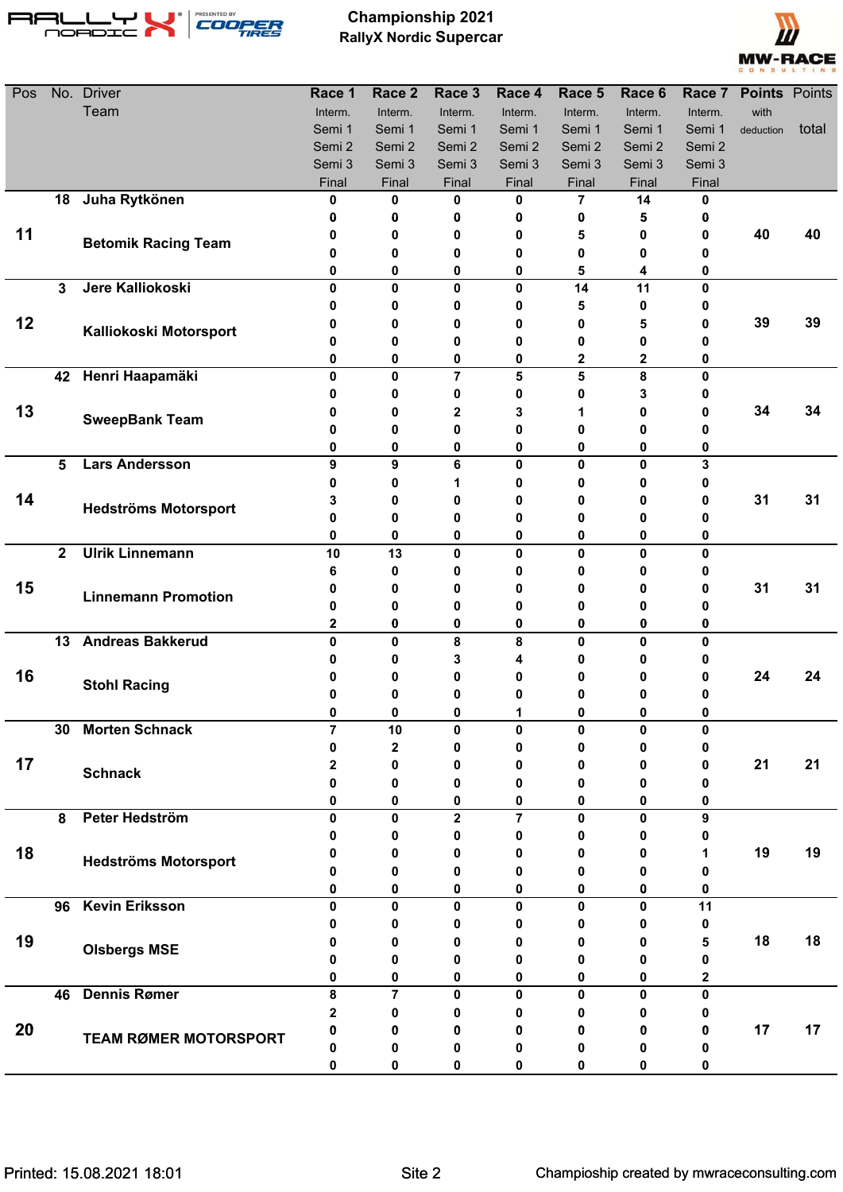

**Championship 2021 RallyX Nordic Supercar**



| Pos |              | No. Driver                   | Race 1            | Race 2         | Race 3                  | Race 4         | Race 5         | Race 6       | Race 7       | <b>Points</b> Points |       |
|-----|--------------|------------------------------|-------------------|----------------|-------------------------|----------------|----------------|--------------|--------------|----------------------|-------|
|     |              | Team                         | Interm.           | Interm.        | Interm.                 | Interm.        | Interm.        | Interm.      | Interm.      | with                 |       |
|     |              |                              | Semi 1            | Semi 1         | Semi 1                  | Semi 1         | Semi 1         | Semi 1       | Semi 1       | deduction            | total |
|     |              |                              | Semi 2            | Semi 2         | Semi 2                  | Semi 2         | Semi 2         | Semi 2       | Semi 2       |                      |       |
|     |              |                              | Semi 3            | Semi 3         | Semi 3                  | Semi 3         | Semi 3         | Semi 3       | Semi 3       |                      |       |
|     |              |                              | Final             | Final          | Final                   | Final          | Final          | Final        | Final        |                      |       |
|     | 18           | Juha Rytkönen                | 0                 | 0              | 0                       | 0              | $\overline{7}$ | 14           | 0            |                      |       |
|     |              |                              | 0                 | 0              | 0                       | 0              | 0              | 5            | 0            |                      |       |
| 11  |              | <b>Betomik Racing Team</b>   | 0                 | 0              | 0                       | 0              | 5              | 0            | 0            | 40                   | 40    |
|     |              |                              | 0                 | 0              | 0                       | 0              | 0              | 0            | 0            |                      |       |
|     | $\mathbf{3}$ | Jere Kalliokoski             | 0<br>$\mathbf{0}$ | 0<br>0         | 0<br>0                  | 0              | 5              | 4            | 0<br>0       |                      |       |
|     |              |                              | 0                 | 0              | 0                       | 0<br>0         | 14<br>5        | 11<br>0      | 0            |                      |       |
| 12  |              |                              | 0                 | 0              | 0                       | 0              | 0              | 5            | 0            | 39                   | 39    |
|     |              | Kalliokoski Motorsport       | 0                 | 0              | 0                       | 0              | 0              | 0            | 0            |                      |       |
|     |              |                              | 0                 | 0              | 0                       | 0              | 2              | 2            | 0            |                      |       |
|     |              | 42 Henri Haapamäki           | $\mathbf{0}$      | $\mathbf 0$    | $\overline{7}$          | 5              | 5              | 8            | $\mathbf{0}$ |                      |       |
|     |              |                              | 0                 | 0              | 0                       | 0              | 0              | 3            | 0            |                      |       |
| 13  |              |                              | 0                 | 0              | 2                       | 3              | 1              | 0            | 0            | 34                   | 34    |
|     |              | <b>SweepBank Team</b>        | 0                 | 0              | 0                       | 0              | 0              | 0            | o            |                      |       |
|     |              |                              | 0                 | 0              | 0                       | 0              | 0              | 0            | 0            |                      |       |
|     | 5            | <b>Lars Andersson</b>        | 9                 | 9              | 6                       | $\mathbf 0$    | $\mathbf 0$    | 0            | 3            |                      |       |
|     |              |                              | 0                 | 0              | 1                       | 0              | 0              | 0            | 0            |                      |       |
| 14  |              |                              | 3                 | 0              | 0                       | 0              | 0              | 0            | 0            | 31                   | 31    |
|     |              | <b>Hedströms Motorsport</b>  | 0                 | 0              | 0                       | 0              | 0              | 0            | 0            |                      |       |
|     |              |                              | 0                 | 0              | 0                       | 0              | 0              | 0            | 0            |                      |       |
|     | $\mathbf{2}$ | <b>Ulrik Linnemann</b>       | 10                | 13             | 0                       | 0              | $\mathbf{0}$   | 0            | 0            |                      |       |
|     |              |                              | 6                 | 0              | 0                       | 0              | 0              | 0            | 0            |                      |       |
| 15  |              | <b>Linnemann Promotion</b>   | 0                 | 0              | 0                       | 0              | 0              | 0            | 0            | 31                   | 31    |
|     |              |                              | 0                 | 0              | 0                       | 0              | 0              | 0            | 0            |                      |       |
|     |              |                              | $\mathbf 2$       | 0              | 0                       | 0              | $\bf{0}$       | 0            | 0            |                      |       |
|     | 13           | <b>Andreas Bakkerud</b>      | $\mathbf{0}$      | 0              | 8                       | 8              | 0              | 0            | 0            |                      |       |
|     |              |                              | 0                 | 0              | 3                       | 4              | 0              | 0            | 0            |                      |       |
| 16  |              | <b>Stohl Racing</b>          | 0                 | 0              | Ω                       | 0              | 0              | 0            | 0            | 24                   | 24    |
|     |              |                              | 0                 | 0              | 0                       | 0              | 0              | 0            | 0            |                      |       |
|     |              |                              | 0                 | 0              | Λ                       |                | n              | 0            | O.           |                      |       |
|     | 30           | <b>Morten Schnack</b>        | $\overline{7}$    | 10             | 0                       | 0              | $\mathbf{0}$   | 0            | 0            |                      |       |
| 17  |              |                              | 0                 | 2              | 0                       | 0              | 0              | 0            | 0            | 21                   | 21    |
|     |              | <b>Schnack</b>               | 2<br>0            | 0<br>0         | 0<br>0                  | 0<br>0         | 0<br>0         | 0<br>0       | 0<br>0       |                      |       |
|     |              |                              | 0                 | 0              | 0                       | 0              | 0              | 0            | 0            |                      |       |
|     | 8            | Peter Hedström               | 0                 | $\mathbf 0$    | $\overline{\mathbf{2}}$ | $\overline{7}$ | $\mathbf{0}$   | $\mathbf 0$  | 9            |                      |       |
|     |              |                              | o                 | 0              | 0                       | 0              | 0              | 0            | 0            |                      |       |
| 18  |              |                              | O                 | 0              | 0                       | 0              | 0              | 0            | 1            | 19                   | 19    |
|     |              | <b>Hedströms Motorsport</b>  | Ω                 | 0              | 0                       | 0              | 0              | 0            | o            |                      |       |
|     |              |                              | 0                 | 0              | 0                       | 0              | 0              | 0            | 0            |                      |       |
|     | 96           | <b>Kevin Eriksson</b>        | 0                 | 0              | 0                       | 0              | $\mathbf{0}$   | $\mathbf{0}$ | 11           |                      |       |
|     |              |                              | o                 | 0              | Ω                       | 0              | 0              | 0            | 0            |                      |       |
| 19  |              |                              |                   | 0              | Ω                       | 0              | 0              | 0            | 5            | 18                   | 18    |
|     |              | <b>Olsbergs MSE</b>          | 0                 | 0              | 0                       | 0              | 0              | 0            | 0            |                      |       |
|     |              |                              | 0                 | 0              | 0                       | 0              | 0              | 0            | 2            |                      |       |
|     | 46           | <b>Dennis Rømer</b>          | 8                 | $\overline{7}$ | 0                       | 0              | $\mathbf{0}$   | $\mathbf{0}$ | $\mathbf{0}$ |                      |       |
|     |              |                              | 2                 | 0              | Ω                       | 0              | 0              | 0            | 0            |                      |       |
| 20  |              | <b>TEAM RØMER MOTORSPORT</b> | 0                 | 0              | o                       | 0              | 0              | 0            | 0            | 17                   | 17    |
|     |              |                              | Ω                 | 0              | 0                       | 0              | 0              | 0            | 0            |                      |       |
|     |              |                              | 0                 | 0              | 0                       | 0              | 0              | 0            | 0            |                      |       |